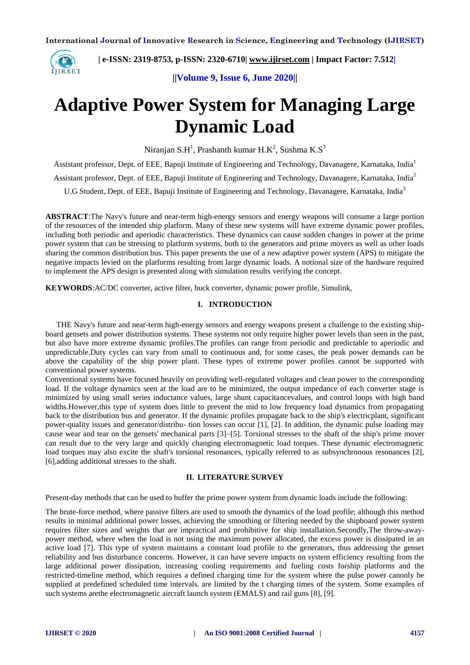

 **| e-ISSN: 2319-8753, p-ISSN: 2320-6710[| www.ijirset.com](http://www.ijirset.com/) | Impact Factor: 7.512|**

**||Volume 9, Issue 6, June 2020||** 

# **Adaptive Power System for Managing Large Dynamic Load**

Niranjan S.H<sup>1</sup>, Prashanth kumar H.K<sup>2</sup>, Sushma K.S<sup>3</sup>

Assistant professor, Dept. of EEE, Bapuji Institute of Engineering and Technology, Davanagere, Karnataka, India<sup>1</sup> Assistant professor, Dept. of EEE, Bapuji Institute of Engineering and Technology, Davanagere, Karnataka, India<sup>2</sup> U.G Student, Dept. of EEE, Bapuji Institute of Engineering and Technology, Davanagere, Karnataka, India<sup>3</sup>

**ABSTRACT**:The Navy's future and near-term high-energy sensors and energy weapons will consume a large portion of the resources of the intended ship platform. Many of these new systems will have extreme dynamic power profiles, including both periodic and aperiodic characteristics. These dynamics can cause sudden changes in power at the prime power system that can be stressing to platform systems, both to the generators and prime movers as well as other loads sharing the common distribution bus. This paper presents the use of a new adaptive power system (APS) to mitigate the negative impacts levied on the platforms resulting from large dynamic loads. A notional size of the hardware required to implement the APS design is presented along with simulation results verifying the concept.

**KEYWORDS**:AC/DC converter, active filter, buck converter, dynamic power profile, Simulink,

### **I. INTRODUCTION**

THE Navy's future and near-term high-energy sensors and energy weapons present a challenge to the existing shipboard gensets and power distribution systems. These systems not only require higher power levels than seen in the past, but also have more extreme dynamic profiles.The profiles can range from periodic and predictable to aperiodic and unpredictable.Duty cycles can vary from small to continuous and, for some cases, the peak power demands can be above the capability of the ship power plant. These types of extreme power profiles cannot be supported with conventional power systems.

Conventional systems have focused heavily on providing well-regulated voltages and clean power to the corresponding load. If the voltage dynamics seen at the load are to be minimized, the output impedance of each converter stage is minimized by using small series inductance values, large shunt capacitancevalues, and control loops with high band widths.However,this type of system does little to prevent the mid to low frequency load dynamics from propagating back to the distribution bus and generator. If the dynamic profiles propagate back to the ship's electricplant, significant power-quality issues and generator/distribu- tion losses can occur [1], [2]. In addition, the dynamic pulse loading may cause wear and tear on the gensets' mechanical parts [3]–[5]. Torsional stresses to the shaft of the ship's prime mover can result due to the very large and quickly changing electromagnetic load torques. These dynamic electromagnetic load torques may also excite the shaft's torsional resonances, typically referred to as subsynchronous resonances [2], [6],adding additional stresses to the shaft.

#### **II. LITERATURE SURVEY**

Present-day methods that can be used to buffer the prime power system from dynamic loads include the following:

The brute-force method, where passive filters are used to smooth the dynamics of the load profile; although this method results in minimal additional power losses, achieving the smoothing or filtering needed by the shipboard power system requires filter sizes and weights that are impractical and prohibitive for ship installation.Secondly,The throw-awaypower method, where when the load is not using the maximum power allocated, the excess power is dissipated in an active load [7]. This type of system maintains a constant load profile to the generators, thus addressing the genset reliability and bus disturbance concerns. However, it can have severe impacts on system efficiency resulting from the large additional power dissipation, increasing cooling requirements and fueling costs forship platforms and the restricted-timeline method, which requires a defined charging time for the system where the pulse power canonly be supplied at predefined scheduled time intervals. are limited by the t charging times of the system. Some examples of such systems arethe electromagnetic aircraft launch system (EMALS) and rail guns [8], [9].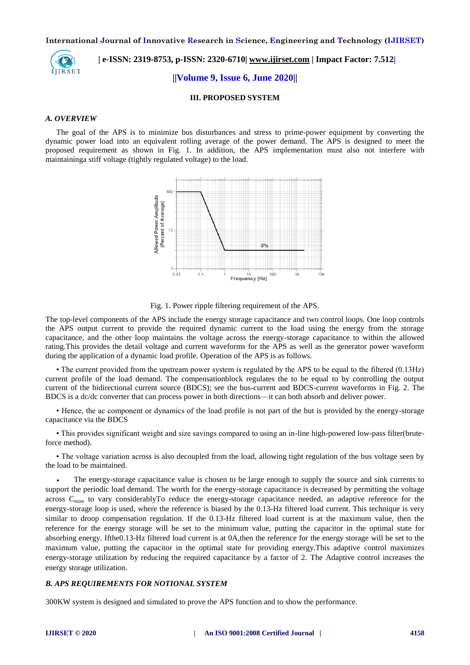

 **| e-ISSN: 2319-8753, p-ISSN: 2320-6710[| www.ijirset.com](http://www.ijirset.com/) | Impact Factor: 7.512|**

**||Volume 9, Issue 6, June 2020||** 

#### **III. PROPOSED SYSTEM**

#### *A. OVERVIEW*

The goal of the APS is to minimize bus disturbances and stress to prime-power equipment by converting the dynamic power load into an equivalent rolling average of the power demand. The APS is designed to meet the proposed requirement as shown in Fig. 1. In addition, the APS implementation must also not interfere with maintaininga stiff voltage (tightly regulated voltage) to the load.



Fig. 1. Power ripple filtering requirement of the APS.

The top-level components of the APS include the energy storage capacitance and two control loops. One loop controls the APS output current to provide the required dynamic current to the load using the energy from the storage capacitance, and the other loop maintains the voltage across the energy-storage capacitance to within the allowed rating.This provides the detail voltage and current waveforms for the APS as well as the generator power waveform during the application of a dynamic load profile. Operation of the APS is as follows.

• The current provided from the upstream power system is regulated by the APS to be equal to the filtered (0.13Hz) current profile of the load demand. The compensationblock regulates the to be equal to by controlling the output current of the bidirectional current source (BDCS); see the bus-current and BDCS-current waveforms in Fig. 2. The BDCS is a dc/dc converter that can process power in both directions—it can both absorb and deliver power.

• Hence, the ac component or dynamics of the load profile is not part of the but is provided by the energy-storage capacitance via the BDCS

• This provides significant weight and size savings compared to using an in-line high-powered low-pass filter(bruteforce method).

• The voltage variation across is also decoupled from the load, allowing tight regulation of the bus voltage seen by the load to be maintained.

 The energy-storage capacitance value is chosen to be large enough to supply the source and sink currents to support the periodic load demand. The worth for the energy-storage capacitance is decreased by permitting the voltage across  $C_{\text{store}}$  to vary considerablyTo reduce the energy-storage capacitance needed, an adaptive reference for the energy-storage loop is used, where the reference is biased by the 0.13-Hz filtered load current. This technique is very similar to droop compensation regulation. If the 0.13-Hz filtered load current is at the maximum value, then the reference for the energy storage will be set to the minimum value, putting the capacitor in the optimal state for absorbing energy. Ifthe0.13-Hz filtered load current is at 0A,then the reference for the energy storage will be set to the maximum value, putting the capacitor in the optimal state for providing energy.This adaptive control maximizes energy-storage utilization by reducing the required capacitance by a factor of 2. The Adaptive control increases the energy storage utilization.

#### *B. APS REQUIREMENTS FOR NOTIONAL SYSTEM*

300KW system is designed and simulated to prove the APS function and to show the performance.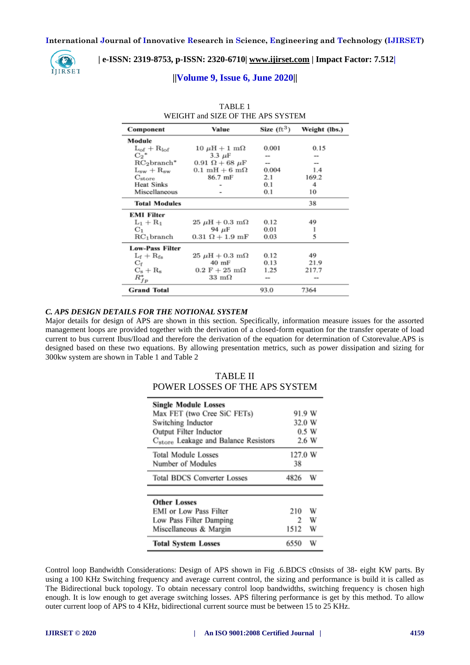

### **| e-ISSN: 2319-8753, p-ISSN: 2320-6710[| www.ijirset.com](http://www.ijirset.com/) | Impact Factor: 7.512|**

#### **||Volume 9, Issue 6, June 2020||**

| WEIGHT and SIZE OF THE APS SYSTEM |                                      |                      |               |  |
|-----------------------------------|--------------------------------------|----------------------|---------------|--|
| Component                         | Value                                | Size $(\text{ft}^3)$ | Weight (lbs.) |  |
| Module                            |                                      |                      |               |  |
| $L_{of} + R_{lof}$                | $10 \mu H + 1 \text{ m}\Omega$       | 0.001                | 0.15          |  |
| $C_2$ <sup>*</sup>                | $3.3 \mu F$                          |                      |               |  |
| $RC2 branch*$                     | $0.91\ \Omega + 68\ \mu F$           | --                   | --            |  |
| $L_{sw} + R_{sw}$                 | $0.1 \text{ mH} + 6 \text{ m}\Omega$ | 0.004                | 1.4           |  |
| $C_{\rm store}$                   | 86.7 mF                              | 2.1                  | 169.2         |  |
| <b>Heat Sinks</b>                 |                                      | 0.1                  | 4             |  |
| Miscellaneous                     |                                      | 0.1                  | 10            |  |
| <b>Total Modules</b>              |                                      |                      | 38            |  |
| <b>EMI Filter</b>                 |                                      |                      |               |  |
| $L_1 + R_1$                       | $25 \mu H + 0.3 \text{ m}\Omega$     | 0.12                 | 49            |  |
| $C_1$                             | 94 µF                                | 0.01                 |               |  |
| $RC_1$ branch                     | $0.31 \Omega + 1.9 \text{ mF}$       | 0.03                 | 5             |  |
| <b>Low-Pass Filter</b>            |                                      |                      |               |  |
| $L_f + R_{fs}$                    | $25 \mu H + 0.3 \text{ m}\Omega$     | 0.12                 | 49            |  |
| $C_{\rm f}$                       | 40 mF                                | 0.13                 | 21.9          |  |
| $C_s + R_s$                       | $0.2 \text{ F} + 25 \text{ m}\Omega$ | 1.25                 | 217.7         |  |
| $R_{fp}^*$                        | $33 \text{ m}\Omega$                 |                      |               |  |
| <b>Grand Total</b>                |                                      | 93.0                 | 7364          |  |

# TABLE 1 WEIGHT and SIZE OF THE APS SYSTEM

#### *C. APS DESIGN DETAILS FOR THE NOTIONAL SYSTEM*

Major details for design of APS are shown in this section. Specifically, information measure issues for the assorted management loops are provided together with the derivation of a closed-form equation for the transfer operate of load current to bus current Ibus/Iload and therefore the derivation of the equation for determination of Cstorevalue.APS is designed based on these two equations. By allowing presentation metrics, such as power dissipation and sizing for 300kw system are shown in Table 1 and Table 2

# TABLE II POWER LOSSES OF THE APS SYSTEM

| <b>Single Module Losses</b><br>Max FET (two Cree SiC FETs)<br>Switching Inductor<br>Output Filter Inductor<br>C <sub>store</sub> Leakage and Balance Resistors | 91.9 W<br>32.0 W | 0.5 W<br>2.6 W |
|----------------------------------------------------------------------------------------------------------------------------------------------------------------|------------------|----------------|
| Total Module Losses<br>Number of Modules                                                                                                                       | 127.0 W<br>38    |                |
| <b>Total BDCS Converter Losses</b>                                                                                                                             | 4826             | W              |
|                                                                                                                                                                |                  |                |
| <b>Other Losses</b><br><b>EMI</b> or Low Pass Filter<br>Low Pass Filter Damping<br>Miscellaneous & Margin                                                      | 210<br>2<br>1512 | W<br>W<br>W    |
| <b>Total System Losses</b>                                                                                                                                     | 6550             | W              |

Control loop Bandwidth Considerations: Design of APS shown in Fig .6.BDCS c0nsists of 38- eight KW parts. By using a 100 KHz Switching frequency and average current control, the sizing and performance is build it is called as The Bidirectional buck topology. To obtain necessary control loop bandwidths, switching frequency is chosen high enough. It is low enough to get average switching losses. APS filtering performance is get by this method. To allow outer current loop of APS to 4 KHz, bidirectional current source must be between 15 to 25 KHz.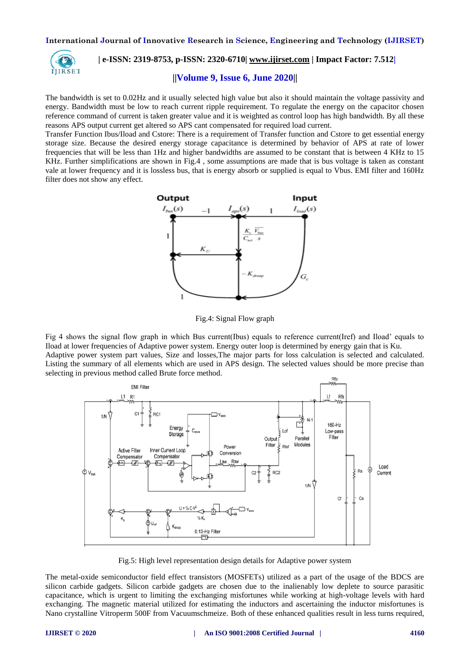

# **| e-ISSN: 2319-8753, p-ISSN: 2320-6710[| www.ijirset.com](http://www.ijirset.com/) | Impact Factor: 7.512|**

#### **||Volume 9, Issue 6, June 2020||**

The bandwidth is set to 0.02Hz and it usually selected high value but also it should maintain the voltage passivity and energy. Bandwidth must be low to reach current ripple requirement. To regulate the energy on the capacitor chosen reference command of current is taken greater value and it is weighted as control loop has high bandwidth. By all these reasons APS output current get altered so APS cant compensated for required load current.

Transfer Function Ibus/Iload and Cstore: There is a requirement of Transfer function and Cstore to get essential energy storage size. Because the desired energy storage capacitance is determined by behavior of APS at rate of lower frequencies that will be less than 1Hz and higher bandwidths are assumed to be constant that is between 4 KHz to 15 KHz. Further simplifications are shown in Fig.4 , some assumptions are made that is bus voltage is taken as constant vale at lower frequency and it is lossless bus, that is energy absorb or supplied is equal to Vbus. EMI filter and 160Hz filter does not show any effect.



Fig.4: Signal Flow graph

Fig 4 shows the signal flow graph in which Bus current(Ibus) equals to reference current(Iref) and Iload' equals to Iload at lower frequencies of Adaptive power system. Energy outer loop is determined by energy gain that is Ku. Adaptive power system part values, Size and losses,The major parts for loss calculation is selected and calculated. Listing the summary of all elements which are used in APS design. The selected values should be more precise than selecting in previous method called Brute force method.



Fig.5: High level representation design details for Adaptive power system

The metal-oxide semiconductor field effect transistors (MOSFETs) utilized as a part of the usage of the BDCS are silicon carbide gadgets. Silicon carbide gadgets are chosen due to the inalienably low deplete to source parasitic capacitance, which is urgent to limiting the exchanging misfortunes while working at high-voltage levels with hard exchanging. The magnetic material utilized for estimating the inductors and ascertaining the inductor misfortunes is Nano crystalline Vitroperm 500F from Vacuumschmeize. Both of these enhanced qualities result in less turns required,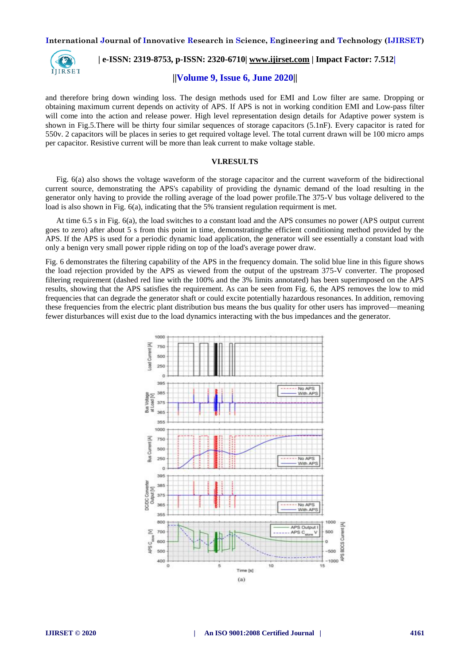

## **| e-ISSN: 2319-8753, p-ISSN: 2320-6710[| www.ijirset.com](http://www.ijirset.com/) | Impact Factor: 7.512|**

#### **||Volume 9, Issue 6, June 2020||**

and therefore bring down winding loss. The design methods used for EMI and Low filter are same. Dropping or obtaining maximum current depends on activity of APS. If APS is not in working condition EMI and Low-pass filter will come into the action and release power. High level representation design details for Adaptive power system is shown in Fig.5.There will be thirty four similar sequences of storage capacitors (5.1nF). Every capacitor is rated for 550v. 2 capacitors will be places in series to get required voltage level. The total current drawn will be 100 micro amps per capacitor. Resistive current will be more than leak current to make voltage stable.

#### **VI.RESULTS**

Fig. 6(a) also shows the voltage waveform of the storage capacitor and the current waveform of the bidirectional current source, demonstrating the APS's capability of providing the dynamic demand of the load resulting in the generator only having to provide the rolling average of the load power profile.The 375-V bus voltage delivered to the load is also shown in Fig. 6(a), indicating that the 5% transient regulation requirment is met.

At time 6.5 s in Fig. 6(a), the load switches to a constant load and the APS consumes no power (APS output current goes to zero) after about 5 s from this point in time, demonstratingthe efficient conditioning method provided by the APS. If the APS is used for a periodic dynamic load application, the generator will see essentially a constant load with only a benign very small power ripple riding on top of the load's average power draw.

Fig. 6 demonstrates the filtering capability of the APS in the frequency domain. The solid blue line in this figure shows the load rejection provided by the APS as viewed from the output of the upstream 375-V converter. The proposed filtering requirement (dashed red line with the 100% and the 3% limits annotated) has been superimposed on the APS results, showing that the APS satisfies the requirement. As can be seen from Fig. 6, the APS removes the low to mid frequencies that can degrade the generator shaft or could excite potentially hazardous resonances. In addition, removing these frequencies from the electric plant distribution bus means the bus quality for other users has improved—meaning fewer disturbances will exist due to the load dynamics interacting with the bus impedances and the generator.

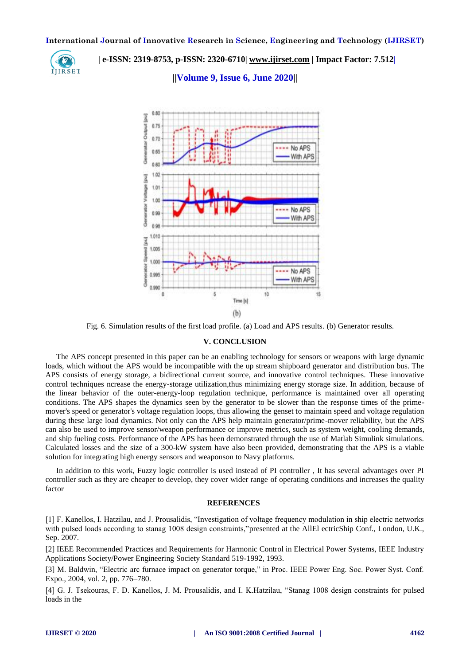

 **| e-ISSN: 2319-8753, p-ISSN: 2320-6710[| www.ijirset.com](http://www.ijirset.com/) | Impact Factor: 7.512|**

**||Volume 9, Issue 6, June 2020||** 



Fig. 6. Simulation results of the first load profile. (a) Load and APS results. (b) Generator results.

#### **V. CONCLUSION**

The APS concept presented in this paper can be an enabling technology for sensors or weapons with large dynamic loads, which without the APS would be incompatible with the up stream shipboard generator and distribution bus. The APS consists of energy storage, a bidirectional current source, and innovative control techniques. These innovative control techniques ncrease the energy-storage utilization,thus minimizing energy storage size. In addition, because of the linear behavior of the outer-energy-loop regulation technique, performance is maintained over all operating conditions. The APS shapes the dynamics seen by the generator to be slower than the response times of the primemover's speed or generator's voltage regulation loops, thus allowing the genset to maintain speed and voltage regulation during these large load dynamics. Not only can the APS help maintain generator/prime-mover reliability, but the APS can also be used to improve sensor/weapon performance or improve metrics, such as system weight, cooling demands, and ship fueling costs. Performance of the APS has been demonstrated through the use of Matlab Simulink simulations. Calculated losses and the size of a 300-kW system have also been provided, demonstrating that the APS is a viable solution for integrating high energy sensors and weaponson to Navy platforms.

In addition to this work, Fuzzy logic controller is used instead of PI controller , It has several advantages over PI controller such as they are cheaper to develop, they cover wider range of operating conditions and increases the quality factor

#### **REFERENCES**

[1] F. Kanellos, I. Hatzilau, and J. Prousalidis, "Investigation of voltage frequency modulation in ship electric networks with pulsed loads according to stanag 1008 design constraints,"presented at the AllEl ectricShip Conf., London, U.K., Sep. 2007.

[2] IEEE Recommended Practices and Requirements for Harmonic Control in Electrical Power Systems, IEEE Industry Applications Society/Power Engineering Society Standard 519-1992, 1993.

[3] M. Baldwin, "Electric arc furnace impact on generator torque," in Proc. IEEE Power Eng. Soc. Power Syst. Conf. Expo., 2004, vol. 2, pp. 776–780.

[4] G. J. Tsekouras, F. D. Kanellos, J. M. Prousalidis, and I. K.Hatzilau, "Stanag 1008 design constraints for pulsed loads in the